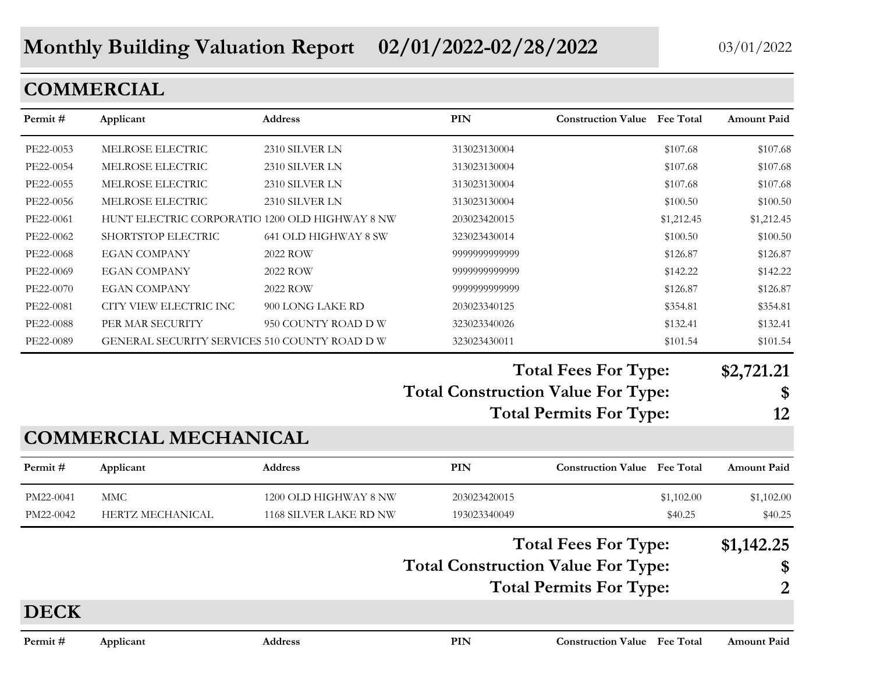# **Monthly Building Valuation Report 02/01/2022-02/28/2022** 03/01/2022

## **COMMERCIAL**

| Permit#     | Applicant                                      | Address                | PIN                                       | <b>Construction Value Fee Total</b> | <b>Amount Paid</b> |
|-------------|------------------------------------------------|------------------------|-------------------------------------------|-------------------------------------|--------------------|
| PE22-0053   | MELROSE ELECTRIC                               | 2310 SILVER LN         | 313023130004                              | \$107.68                            | \$107.68           |
| PE22-0054   | MELROSE ELECTRIC                               | 2310 SILVER LN         | 313023130004                              | \$107.68                            | \$107.68           |
| PE22-0055   | MELROSE ELECTRIC                               | 2310 SILVER LN         | 313023130004                              | \$107.68                            | \$107.68           |
| PE22-0056   | MELROSE ELECTRIC                               | 2310 SILVER LN         | 313023130004                              | \$100.50                            | \$100.50           |
| PE22-0061   | HUNT ELECTRIC CORPORATIO 1200 OLD HIGHWAY 8 NW |                        | 203023420015                              | \$1,212.45                          | \$1,212.45         |
| PE22-0062   | SHORTSTOP ELECTRIC                             | 641 OLD HIGHWAY 8 SW   | 323023430014                              | \$100.50                            | \$100.50           |
| PE22-0068   | <b>EGAN COMPANY</b>                            | 2022 ROW               | 9999999999999                             | \$126.87                            | \$126.87           |
| PE22-0069   | <b>EGAN COMPANY</b>                            | 2022 ROW               | 9999999999999                             | \$142.22                            | \$142.22           |
| PE22-0070   | <b>EGAN COMPANY</b>                            | 2022 ROW               | 9999999999999                             | \$126.87                            | \$126.87           |
| PE22-0081   | CITY VIEW ELECTRIC INC                         | 900 LONG LAKE RD       | 203023340125                              | \$354.81                            | \$354.81           |
| PE22-0088   | PER MAR SECURITY                               | 950 COUNTY ROAD D W    | 323023340026                              | \$132.41                            | \$132.41           |
| PE22-0089   | GENERAL SECURITY SERVICES 510 COUNTY ROAD D W  |                        | 323023430011                              | \$101.54                            | \$101.54           |
|             |                                                |                        |                                           | <b>Total Fees For Type:</b>         | \$2,721.21         |
|             |                                                |                        | <b>Total Construction Value For Type:</b> |                                     | \$                 |
|             |                                                |                        |                                           | <b>Total Permits For Type:</b>      | 12                 |
|             | <b>COMMERCIAL MECHANICAL</b>                   |                        |                                           |                                     |                    |
| Permit#     | Applicant                                      | <b>Address</b>         | <b>PIN</b>                                | <b>Construction Value</b> Fee Total | <b>Amount Paid</b> |
| PM22-0041   | <b>MMC</b>                                     | 1200 OLD HIGHWAY 8 NW  | 203023420015                              | \$1,102.00                          | \$1,102.00         |
| PM22-0042   | HERTZ MECHANICAL                               | 1168 SILVER LAKE RD NW | 193023340049                              | \$40.25                             | \$40.25            |
|             |                                                |                        |                                           | <b>Total Fees For Type:</b>         | \$1,142.25         |
|             |                                                |                        | <b>Total Construction Value For Type:</b> |                                     | \$                 |
|             |                                                |                        |                                           | <b>Total Permits For Type:</b>      | $\overline{2}$     |
| <b>DECK</b> |                                                |                        |                                           |                                     |                    |
| Permit #    | Applicant                                      | <b>Address</b>         | PIN                                       | <b>Construction Value</b> Fee Total | <b>Amount Paid</b> |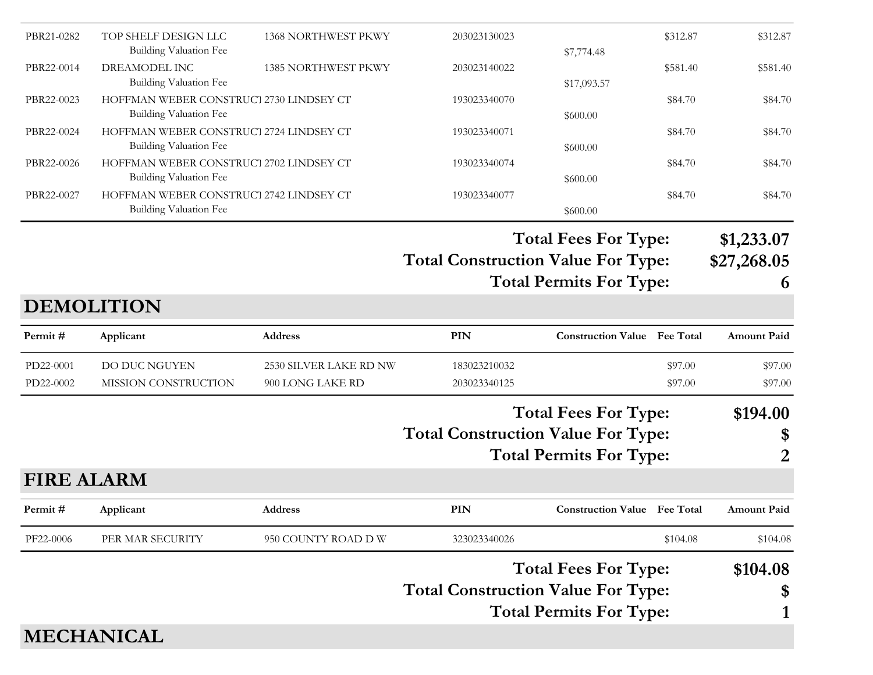| PBR21-0282        | TOP SHELF DESIGN LLC<br><b>Building Valuation Fee</b>                    | <b>1368 NORTHWEST PKWY</b> | 203023130023                              | \$7,774.48                          | \$312.87 | \$312.87           |
|-------------------|--------------------------------------------------------------------------|----------------------------|-------------------------------------------|-------------------------------------|----------|--------------------|
| PBR22-0014        | DREAMODEL INC<br><b>Building Valuation Fee</b>                           | <b>1385 NORTHWEST PKWY</b> | 203023140022                              | \$17,093.57                         | \$581.40 | \$581.40           |
| PBR22-0023        | HOFFMAN WEBER CONSTRUCT 2730 LINDSEY CT<br><b>Building Valuation Fee</b> |                            | 193023340070                              | \$600.00                            | \$84.70  | \$84.70            |
| PBR22-0024        | HOFFMAN WEBER CONSTRUCT 2724 LINDSEY CT<br>Building Valuation Fee        |                            | 193023340071                              | \$600.00                            | \$84.70  | \$84.70            |
| PBR22-0026        | HOFFMAN WEBER CONSTRUCT 2702 LINDSEY CT<br><b>Building Valuation Fee</b> |                            | 193023340074                              | \$600.00                            | \$84.70  | \$84.70            |
| PBR22-0027        | HOFFMAN WEBER CONSTRUCT 2742 LINDSEY CT<br><b>Building Valuation Fee</b> |                            | 193023340077                              | \$600.00                            | \$84.70  | \$84.70            |
|                   |                                                                          |                            |                                           | <b>Total Fees For Type:</b>         |          | \$1,233.07         |
|                   |                                                                          |                            | <b>Total Construction Value For Type:</b> |                                     |          | \$27,268.05        |
|                   |                                                                          |                            |                                           | <b>Total Permits For Type:</b>      |          | 6                  |
|                   | <b>DEMOLITION</b>                                                        |                            |                                           |                                     |          |                    |
| Permit#           | Applicant                                                                | <b>Address</b>             | <b>PIN</b>                                | <b>Construction Value</b> Fee Total |          | <b>Amount Paid</b> |
| PD22-0001         | DO DUC NGUYEN                                                            | 2530 SILVER LAKE RD NW     | 183023210032                              |                                     | \$97.00  | \$97.00            |
| PD22-0002         | MISSION CONSTRUCTION                                                     | 900 LONG LAKE RD           | 203023340125                              |                                     | \$97.00  | \$97.00            |
|                   |                                                                          |                            |                                           | <b>Total Fees For Type:</b>         |          | \$194.00           |
|                   |                                                                          |                            | <b>Total Construction Value For Type:</b> |                                     |          | \$                 |
|                   |                                                                          |                            |                                           | <b>Total Permits For Type:</b>      |          | 2                  |
| <b>FIRE ALARM</b> |                                                                          |                            |                                           |                                     |          |                    |
| Permit#           | Applicant                                                                | <b>Address</b>             | <b>PIN</b>                                | <b>Construction Value</b> Fee Total |          | <b>Amount Paid</b> |
| PF22-0006         | PER MAR SECURITY                                                         | 950 COUNTY ROAD D W        | 323023340026                              |                                     | \$104.08 | \$104.08           |
|                   |                                                                          |                            |                                           | <b>Total Fees For Type:</b>         |          | \$104.08           |
|                   |                                                                          |                            | <b>Total Construction Value For Type:</b> |                                     |          | \$                 |
|                   |                                                                          |                            |                                           | <b>Total Permits For Type:</b>      |          |                    |
|                   | <b>MECHANICAL</b>                                                        |                            |                                           |                                     |          |                    |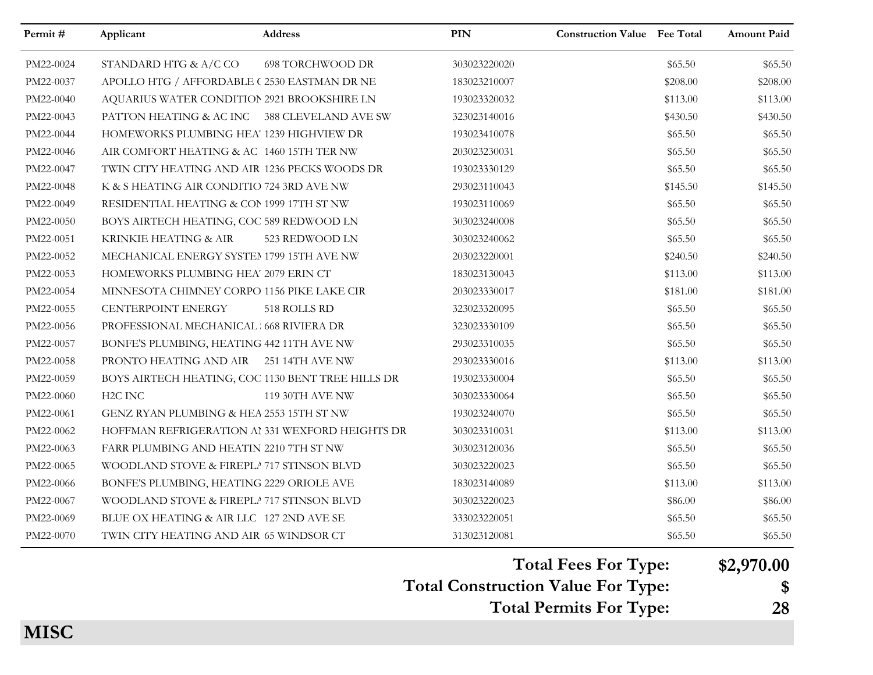| Permit#   | Applicant                                         | <b>Address</b>          | <b>PIN</b>   | <b>Construction Value Fee Total</b> |          | <b>Amount Paid</b> |
|-----------|---------------------------------------------------|-------------------------|--------------|-------------------------------------|----------|--------------------|
| PM22-0024 | STANDARD HTG & A/C CO                             | <b>698 TORCHWOOD DR</b> | 303023220020 |                                     | \$65.50  | \$65.50            |
| PM22-0037 | APOLLO HTG / AFFORDABLE (2530 EASTMAN DR NE       |                         | 183023210007 |                                     | \$208.00 | \$208.00           |
| PM22-0040 | AQUARIUS WATER CONDITION 2921 BROOKSHIRE LN       |                         | 193023320032 |                                     | \$113.00 | \$113.00           |
| PM22-0043 | PATTON HEATING & AC INC 388 CLEVELAND AVE SW      |                         | 323023140016 |                                     | \$430.50 | \$430.50           |
| PM22-0044 | HOMEWORKS PLUMBING HEA' 1239 HIGHVIEW DR          |                         | 193023410078 |                                     | \$65.50  | \$65.50            |
| PM22-0046 | AIR COMFORT HEATING & AC 1460 15TH TER NW         |                         | 203023230031 |                                     | \$65.50  | \$65.50            |
| PM22-0047 | TWIN CITY HEATING AND AIR 1236 PECKS WOODS DR     |                         | 193023330129 |                                     | \$65.50  | \$65.50            |
| PM22-0048 | K & S HEATING AIR CONDITIO 724 3RD AVE NW         |                         | 293023110043 |                                     | \$145.50 | \$145.50           |
| PM22-0049 | RESIDENTIAL HEATING & COP 1999 17TH ST NW         |                         | 193023110069 |                                     | \$65.50  | \$65.50            |
| PM22-0050 | BOYS AIRTECH HEATING, COC 589 REDWOOD LN          |                         | 303023240008 |                                     | \$65.50  | \$65.50            |
| PM22-0051 | KRINKIE HEATING & AIR                             | 523 REDWOOD LN          | 303023240062 |                                     | \$65.50  | \$65.50            |
| PM22-0052 | MECHANICAL ENERGY SYSTEM 1799 15TH AVE NW         |                         | 203023220001 |                                     | \$240.50 | \$240.50           |
| PM22-0053 | HOMEWORKS PLUMBING HEA' 2079 ERIN CT              |                         | 183023130043 |                                     | \$113.00 | \$113.00           |
| PM22-0054 | MINNESOTA CHIMNEY CORPO 1156 PIKE LAKE CIR        |                         | 203023330017 |                                     | \$181.00 | \$181.00           |
| PM22-0055 | CENTERPOINT ENERGY                                | 518 ROLLS RD            | 323023320095 |                                     | \$65.50  | \$65.50            |
| PM22-0056 | PROFESSIONAL MECHANICAL 668 RIVIERA DR            |                         | 323023330109 |                                     | \$65.50  | \$65.50            |
| PM22-0057 | BONFE'S PLUMBING, HEATING 442 11TH AVE NW         |                         | 293023310035 |                                     | \$65.50  | \$65.50            |
| PM22-0058 | PRONTO HEATING AND AIR 251 14TH AVE NW            |                         | 293023330016 |                                     | \$113.00 | \$113.00           |
| PM22-0059 | BOYS AIRTECH HEATING, COC 1130 BENT TREE HILLS DR |                         | 193023330004 |                                     | \$65.50  | \$65.50            |
| PM22-0060 | H <sub>2</sub> C INC                              | 119 30TH AVE NW         | 303023330064 |                                     | \$65.50  | \$65.50            |
| PM22-0061 | GENZ RYAN PLUMBING & HEA 2553 15TH ST NW          |                         | 193023240070 |                                     | \$65.50  | \$65.50            |
| PM22-0062 | HOFFMAN REFRIGERATION AI 331 WEXFORD HEIGHTS DR   |                         | 303023310031 |                                     | \$113.00 | \$113.00           |
| PM22-0063 | FARR PLUMBING AND HEATIN 2210 7TH ST NW           |                         | 303023120036 |                                     | \$65.50  | \$65.50            |
| PM22-0065 | WOODLAND STOVE & FIREPLA 717 STINSON BLVD         |                         | 303023220023 |                                     | \$65.50  | \$65.50            |
| PM22-0066 | BONFE'S PLUMBING, HEATING 2229 ORIOLE AVE         |                         | 183023140089 |                                     | \$113.00 | \$113.00           |
| PM22-0067 | WOODLAND STOVE & FIREPLA 717 STINSON BLVD         |                         | 303023220023 |                                     | \$86.00  | \$86.00            |
| PM22-0069 | BLUE OX HEATING & AIR LLC 127 2ND AVE SE          |                         | 333023220051 |                                     | \$65.50  | \$65.50            |
| PM22-0070 | TWIN CITY HEATING AND AIR 65 WINDSOR CT           |                         | 313023120081 |                                     | \$65.50  | \$65.50            |

**Total Fees For Type: \$2,970.00**

**Total Construction Value For Type: \$**

**Total Permits For Type: 28**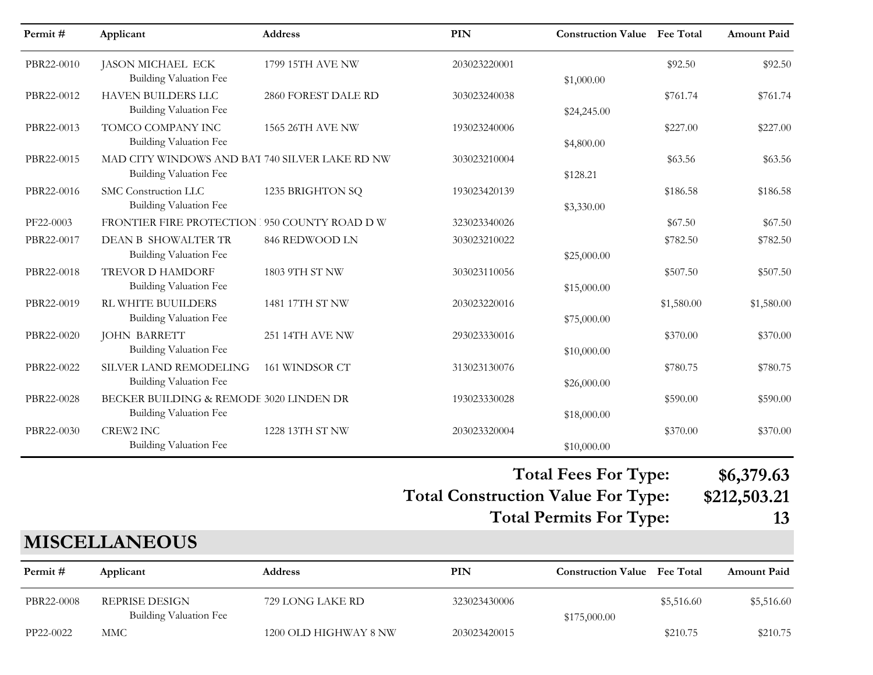| Permit#    | Applicant                                                                       | Address               | <b>PIN</b>                                | <b>Construction Value</b> Fee Total |            | <b>Amount Paid</b> |
|------------|---------------------------------------------------------------------------------|-----------------------|-------------------------------------------|-------------------------------------|------------|--------------------|
| PBR22-0010 | <b>JASON MICHAEL ECK</b><br><b>Building Valuation Fee</b>                       | 1799 15TH AVE NW      | 203023220001                              | \$1,000.00                          | \$92.50    | \$92.50            |
| PBR22-0012 | <b>HAVEN BUILDERS LLC</b><br><b>Building Valuation Fee</b>                      | 2860 FOREST DALE RD   | 303023240038                              |                                     | \$761.74   | \$761.74           |
| PBR22-0013 | TOMCO COMPANY INC<br><b>Building Valuation Fee</b>                              | 1565 26TH AVE NW      | 193023240006                              | \$24,245.00<br>\$4,800.00           | \$227.00   | \$227.00           |
| PBR22-0015 | MAD CITY WINDOWS AND BAT 740 SILVER LAKE RD NW<br><b>Building Valuation Fee</b> |                       | 303023210004                              | \$128.21                            | \$63.56    | \$63.56            |
| PBR22-0016 | SMC Construction LLC<br><b>Building Valuation Fee</b>                           | 1235 BRIGHTON SQ      | 193023420139                              | \$3,330.00                          | \$186.58   | \$186.58           |
| PF22-0003  | FRONTIER FIRE PROTECTION 350 COUNTY ROAD DW                                     |                       | 323023340026                              |                                     | \$67.50    | \$67.50            |
| PBR22-0017 | DEAN B SHOWALTER TR                                                             | 846 REDWOOD LN        | 303023210022                              |                                     | \$782.50   | \$782.50           |
|            | <b>Building Valuation Fee</b>                                                   |                       |                                           | \$25,000.00                         |            |                    |
| PBR22-0018 | <b>TREVOR D HAMDORF</b><br><b>Building Valuation Fee</b>                        | 1803 9TH ST NW        | 303023110056                              | \$15,000.00                         | \$507.50   | \$507.50           |
| PBR22-0019 | <b>RL WHITE BUUILDERS</b><br><b>Building Valuation Fee</b>                      | 1481 17TH ST NW       | 203023220016                              | \$75,000.00                         | \$1,580.00 | \$1,580.00         |
| PBR22-0020 | <b>JOHN BARRETT</b><br><b>Building Valuation Fee</b>                            | 251 14TH AVE NW       | 293023330016                              | \$10,000.00                         | \$370.00   | \$370.00           |
| PBR22-0022 | SILVER LAND REMODELING<br><b>Building Valuation Fee</b>                         | 161 WINDSOR CT        | 313023130076                              | \$26,000.00                         | \$780.75   | \$780.75           |
| PBR22-0028 | BECKER BUILDING & REMODE 3020 LINDEN DR<br><b>Building Valuation Fee</b>        |                       | 193023330028                              | \$18,000.00                         | \$590.00   | \$590.00           |
| PBR22-0030 | CREW2 INC<br>Building Valuation Fee                                             | 1228 13TH ST NW       | 203023320004                              | \$10,000.00                         | \$370.00   | \$370.00           |
|            |                                                                                 |                       |                                           | <b>Total Fees For Type:</b>         |            | \$6,379.63         |
|            |                                                                                 |                       | <b>Total Construction Value For Type:</b> |                                     |            | \$212,503.21       |
|            |                                                                                 |                       |                                           | <b>Total Permits For Type:</b>      |            | 13                 |
|            | <b>MISCELLANEOUS</b>                                                            |                       |                                           |                                     |            |                    |
| Permit#    | Applicant                                                                       | Address               | PIN                                       | <b>Construction Value Fee Total</b> |            | Amount Paid        |
| PBR22-0008 | <b>REPRISE DESIGN</b><br>Building Valuation Fee                                 | 729 LONG LAKE RD      | 323023430006                              | \$175,000.00                        | \$5,516.60 | \$5,516.60         |
| PP22-0022  | <b>MMC</b>                                                                      | 1200 OLD HIGHWAY 8 NW | 203023420015                              |                                     | \$210.75   | \$210.75           |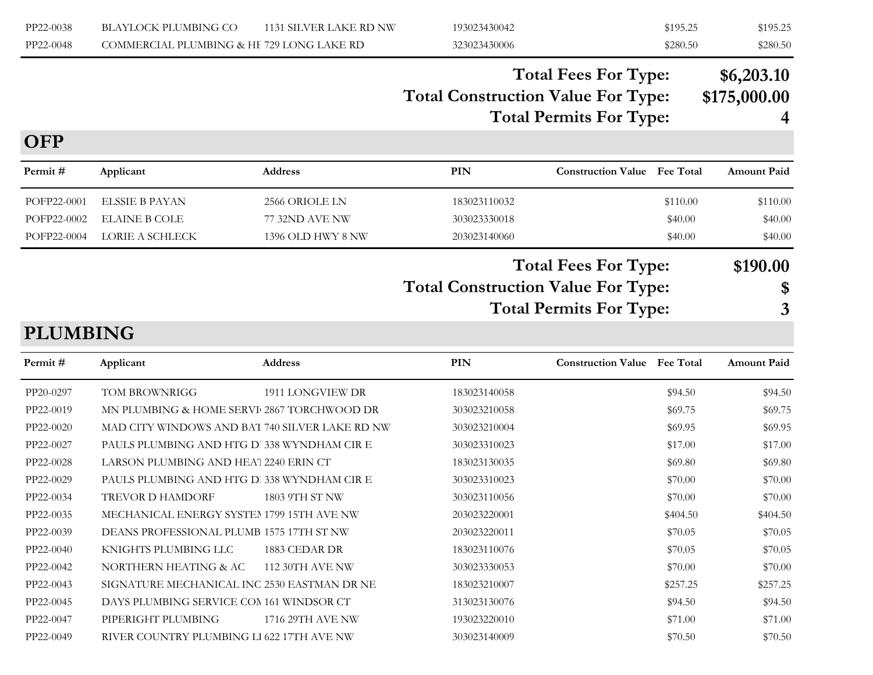| PP22-0038 | BLAYLOCK PLUMBING CO                      | 1131 SILVER LAKE RD NW | 193023430042 | \$195.25 | \$195.25 |
|-----------|-------------------------------------------|------------------------|--------------|----------|----------|
| PP22-0048 | COMMERCIAL PLUMBING & HE 729 LONG LAKE RD |                        | 323023430006 | \$280.50 | \$280.50 |

### **Total Construction Value For Type: \$175,000.00 Total Fees For Type: \$6,203.10 Total Permits For Type: 4**

#### **OFP**

| <b>Amount Paid</b> | <b>Construction Value</b> Fee Total | <b>PIN</b>                                | <b>Address</b>    | Applicant            | Permit #    |
|--------------------|-------------------------------------|-------------------------------------------|-------------------|----------------------|-------------|
| \$110.00           | \$110.00                            | 183023110032                              | 2566 ORIOLE LN    | ELSSIE B PAYAN       | POFP22-0001 |
| \$40.00            | \$40.00                             | 303023330018                              | 77 32ND AVE NW    | <b>ELAINE B COLE</b> | POFP22-0002 |
| \$40.00            | \$40.00                             | 203023140060                              | 1396 OLD HWY 8 NW | LORIE A SCHLECK      | POFP22-0004 |
| \$190.00<br>\$     | <b>Total Fees For Type:</b>         | <b>Total Construction Value For Type:</b> |                   |                      |             |

**Total Permits For Type: 3**

#### **PLUMBING**

| Permit #  | Applicant                                      | <b>Address</b>         | PIN          | <b>Construction Value</b> Fee Total |          | <b>Amount Paid</b> |
|-----------|------------------------------------------------|------------------------|--------------|-------------------------------------|----------|--------------------|
| PP20-0297 | TOM BROWNRIGG                                  | 1911 LONGVIEW DR       | 183023140058 |                                     | \$94.50  | \$94.50            |
| PP22-0019 | MN PLUMBING & HOME SERVI 2867 TORCHWOOD DR     |                        | 303023210058 |                                     | \$69.75  | \$69.75            |
| PP22-0020 | MAD CITY WINDOWS AND BAT 740 SILVER LAKE RD NW |                        | 303023210004 |                                     | \$69.95  | \$69.95            |
| PP22-0027 | PAULS PLUMBING AND HTG D. 338 WYNDHAM CIR E    |                        | 303023310023 |                                     | \$17.00  | \$17.00            |
| PP22-0028 | LARSON PLUMBING AND HEAT 2240 ERIN CT          |                        | 183023130035 |                                     | \$69.80  | \$69.80            |
| PP22-0029 | PAULS PLUMBING AND HTG D. 338 WYNDHAM CIR E    |                        | 303023310023 |                                     | \$70.00  | \$70.00            |
| PP22-0034 | <b>TREVOR D HAMDORF</b>                        | 1803 9TH ST NW         | 303023110056 |                                     | \$70.00  | \$70.00            |
| PP22-0035 | MECHANICAL ENERGY SYSTEM 1799 15TH AVE NW      |                        | 203023220001 |                                     | \$404.50 | \$404.50           |
| PP22-0039 | DEANS PROFESSIONAL PLUMB 1575 17TH ST NW       |                        | 203023220011 |                                     | \$70.05  | \$70.05            |
| PP22-0040 | KNIGHTS PLUMBING LLC                           | 1883 CEDAR DR          | 183023110076 |                                     | \$70.05  | \$70.05            |
| PP22-0042 | NORTHERN HEATING & AC                          | <b>112 30TH AVE NW</b> | 303023330053 |                                     | \$70.00  | \$70.00            |
| PP22-0043 | SIGNATURE MECHANICAL INC 2530 EASTMAN DR NE    |                        | 183023210007 |                                     | \$257.25 | \$257.25           |
| PP22-0045 | DAYS PLUMBING SERVICE COM 161 WINDSOR CT       |                        | 313023130076 |                                     | \$94.50  | \$94.50            |
| PP22-0047 | PIPERIGHT PLUMBING                             | 1716 29TH AVE NW       | 193023220010 |                                     | \$71.00  | \$71.00            |
| PP22-0049 | RIVER COUNTRY PLUMBING LI 622 17TH AVE NW      |                        | 303023140009 |                                     | \$70.50  | \$70.50            |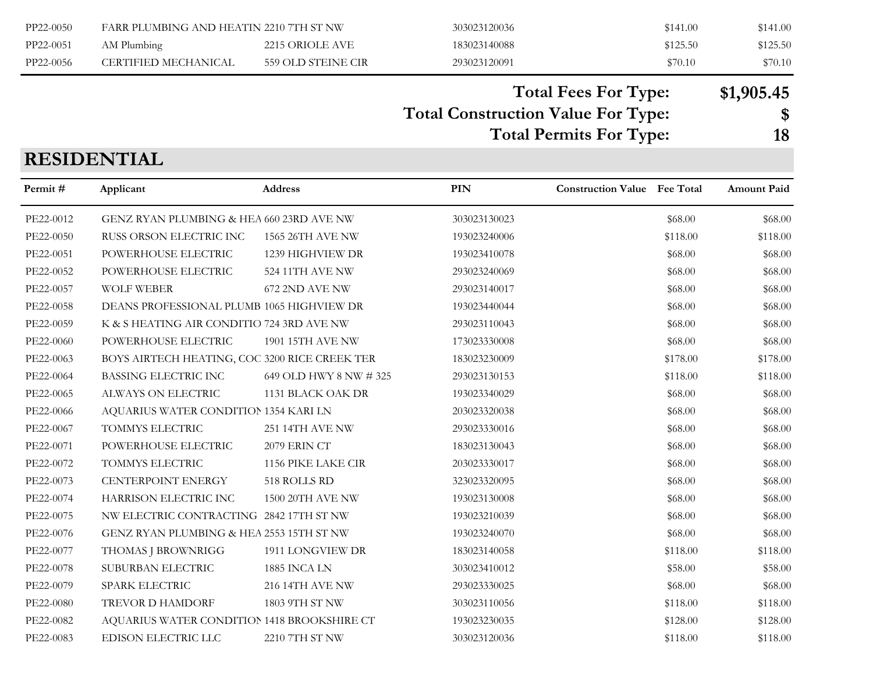| PP22-0050 | FARR PLUMBING AND HEATIN 2210 7TH ST NW |                    | 303023120036 | \$141.00 | \$141.00 |
|-----------|-----------------------------------------|--------------------|--------------|----------|----------|
| PP22-0051 | AM Plumbing                             | 2215 ORIOLE AVE    | 183023140088 | \$125.50 | \$125.50 |
| PP22-0056 | CERTIFIED MECHANICAL                    | 559 OLD STEINE CIR | 293023120091 | \$70.10  | \$70.10  |

**Total Fees For Type: \$1,905.45**

**Total Construction Value For Type: \$**

**Total Permits For Type: 18**

# **RESIDENTIAL**

| Permit#   | Applicant                                     | Address                 | PIN          | <b>Construction Value</b> Fee Total |          | Amount Paid |
|-----------|-----------------------------------------------|-------------------------|--------------|-------------------------------------|----------|-------------|
| PE22-0012 | GENZ RYAN PLUMBING & HEA 660 23RD AVE NW      |                         | 303023130023 |                                     | \$68.00  | \$68.00     |
| PE22-0050 | RUSS ORSON ELECTRIC INC                       | 1565 26TH AVE NW        | 193023240006 |                                     | \$118.00 | \$118.00    |
| PE22-0051 | POWERHOUSE ELECTRIC                           | 1239 HIGHVIEW DR        | 193023410078 |                                     | \$68.00  | \$68.00     |
| PE22-0052 | POWERHOUSE ELECTRIC                           | 524 11TH AVE NW         | 293023240069 |                                     | \$68.00  | \$68.00     |
| PE22-0057 | <b>WOLF WEBER</b>                             | 672 2ND AVE NW          | 293023140017 |                                     | \$68.00  | \$68.00     |
| PE22-0058 | DEANS PROFESSIONAL PLUMB 1065 HIGHVIEW DR     |                         | 193023440044 |                                     | \$68.00  | \$68.00     |
| PE22-0059 | K & S HEATING AIR CONDITIO 724 3RD AVE NW     |                         | 293023110043 |                                     | \$68.00  | \$68.00     |
| PE22-0060 | POWERHOUSE ELECTRIC                           | 1901 15TH AVE NW        | 173023330008 |                                     | \$68.00  | \$68.00     |
| PE22-0063 | BOYS AIRTECH HEATING, COC 3200 RICE CREEK TER |                         | 183023230009 |                                     | \$178.00 | \$178.00    |
| PE22-0064 | BASSING ELECTRIC INC                          | 649 OLD HWY 8 NW # 325  | 293023130153 |                                     | \$118.00 | \$118.00    |
| PE22-0065 | ALWAYS ON ELECTRIC                            | 1131 BLACK OAK DR       | 193023340029 |                                     | \$68.00  | \$68.00     |
| PE22-0066 | AQUARIUS WATER CONDITION 1354 KARI LN         |                         | 203023320038 |                                     | \$68.00  | \$68.00     |
| PE22-0067 | TOMMYS ELECTRIC                               | <b>251 14TH AVE NW</b>  | 293023330016 |                                     | \$68.00  | \$68.00     |
| PE22-0071 | POWERHOUSE ELECTRIC                           | 2079 ERIN CT            | 183023130043 |                                     | \$68.00  | \$68.00     |
| PE22-0072 | TOMMYS ELECTRIC                               | 1156 PIKE LAKE CIR      | 203023330017 |                                     | \$68.00  | \$68.00     |
| PE22-0073 | CENTERPOINT ENERGY                            | 518 ROLLS RD            | 323023320095 |                                     | \$68.00  | \$68.00     |
| PE22-0074 | HARRISON ELECTRIC INC                         | <b>1500 20TH AVE NW</b> | 193023130008 |                                     | \$68.00  | \$68.00     |
| PE22-0075 | NW ELECTRIC CONTRACTING 2842 17TH ST NW       |                         | 193023210039 |                                     | \$68.00  | \$68.00     |
| PE22-0076 | GENZ RYAN PLUMBING & HEA 2553 15TH ST NW      |                         | 193023240070 |                                     | \$68.00  | \$68.00     |
| PE22-0077 | THOMAS J BROWNRIGG                            | 1911 LONGVIEW DR        | 183023140058 |                                     | \$118.00 | \$118.00    |
| PE22-0078 | SUBURBAN ELECTRIC                             | 1885 INCA LN            | 303023410012 |                                     | \$58.00  | \$58.00     |
| PE22-0079 | <b>SPARK ELECTRIC</b>                         | <b>216 14TH AVE NW</b>  | 293023330025 |                                     | \$68.00  | \$68.00     |
| PE22-0080 | TREVOR D HAMDORF                              | 1803 9TH ST NW          | 303023110056 |                                     | \$118.00 | \$118.00    |
| PE22-0082 | AQUARIUS WATER CONDITION 1418 BROOKSHIRE CT   |                         | 193023230035 |                                     | \$128.00 | \$128.00    |
| PE22-0083 | EDISON ELECTRIC LLC                           | 2210 7TH ST NW          | 303023120036 |                                     | \$118.00 | \$118.00    |
|           |                                               |                         |              |                                     |          |             |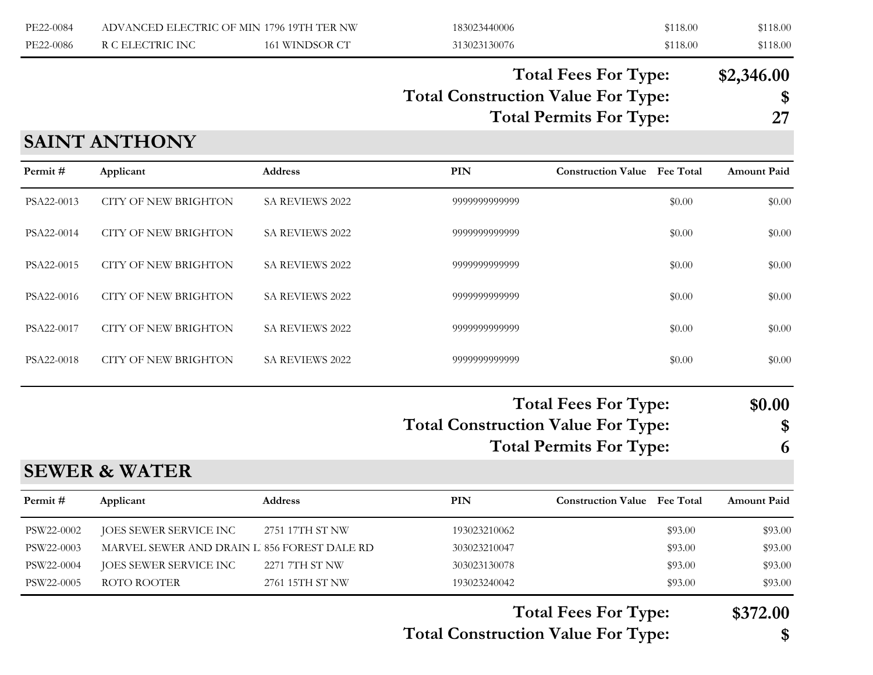| PE22-0084 | ADVANCED ELECTRIC OF MIN 1796 19TH TER NW |                | 183023440006 | \$118.00 | \$118.00 |
|-----------|-------------------------------------------|----------------|--------------|----------|----------|
| PE22-0086 | R C ELECTRIC INC                          | 161 WINDSOR CT | 313023130076 | \$118.00 | \$118.00 |

# **Total Construction Value For Type: \$ Total Fees For Type: \$2,346.00**

**Total Permits For Type: 27**

### **SAINT ANTHONY**

| Permit#    | Applicant                                   | Address                | <b>PIN</b>                                | <b>Construction Value</b> Fee Total                           |         | <b>Amount Paid</b> |
|------------|---------------------------------------------|------------------------|-------------------------------------------|---------------------------------------------------------------|---------|--------------------|
| PSA22-0013 | <b>CITY OF NEW BRIGHTON</b>                 | SA REVIEWS 2022        | 9999999999999                             |                                                               | \$0.00  | \$0.00             |
| PSA22-0014 | <b>CITY OF NEW BRIGHTON</b>                 | SA REVIEWS 2022        | 9999999999999                             |                                                               | \$0.00  | \$0.00             |
| PSA22-0015 | <b>CITY OF NEW BRIGHTON</b>                 | SA REVIEWS 2022        | 9999999999999                             |                                                               | \$0.00  | \$0.00             |
| PSA22-0016 | <b>CITY OF NEW BRIGHTON</b>                 | SA REVIEWS 2022        | 9999999999999                             |                                                               | \$0.00  | \$0.00             |
| PSA22-0017 | <b>CITY OF NEW BRIGHTON</b>                 | SA REVIEWS 2022        | 9999999999999                             |                                                               | \$0.00  | \$0.00             |
| PSA22-0018 | <b>CITY OF NEW BRIGHTON</b>                 | <b>SA REVIEWS 2022</b> | 9999999999999                             |                                                               | \$0.00  | \$0.00             |
|            |                                             |                        | <b>Total Construction Value For Type:</b> | <b>Total Fees For Type:</b><br><b>Total Permits For Type:</b> |         | \$0.00<br>\$<br>6  |
|            | <b>SEWER &amp; WATER</b>                    |                        |                                           |                                                               |         |                    |
| Permit#    | Applicant                                   | <b>Address</b>         | <b>PIN</b>                                | <b>Construction Value Fee Total</b>                           |         | <b>Amount Paid</b> |
| PSW22-0002 | JOES SEWER SERVICE INC                      | 2751 17TH ST NW        | 193023210062                              |                                                               | \$93.00 | \$93.00            |
| PSW22-0003 | MARVEL SEWER AND DRAIN L 856 FOREST DALE RD |                        | 303023210047                              |                                                               | \$93.00 | \$93.00            |
| PSW22-0004 | JOES SEWER SERVICE INC                      | 2271 7TH ST NW         | 303023130078                              |                                                               | \$93.00 | \$93.00            |
| PSW22-0005 | ROTO ROOTER                                 | 2761 15TH ST NW        | 193023240042                              |                                                               | \$93.00 | \$93.00            |

**Total Construction Value For Type: \$ Total Fees For Type: \$372.00**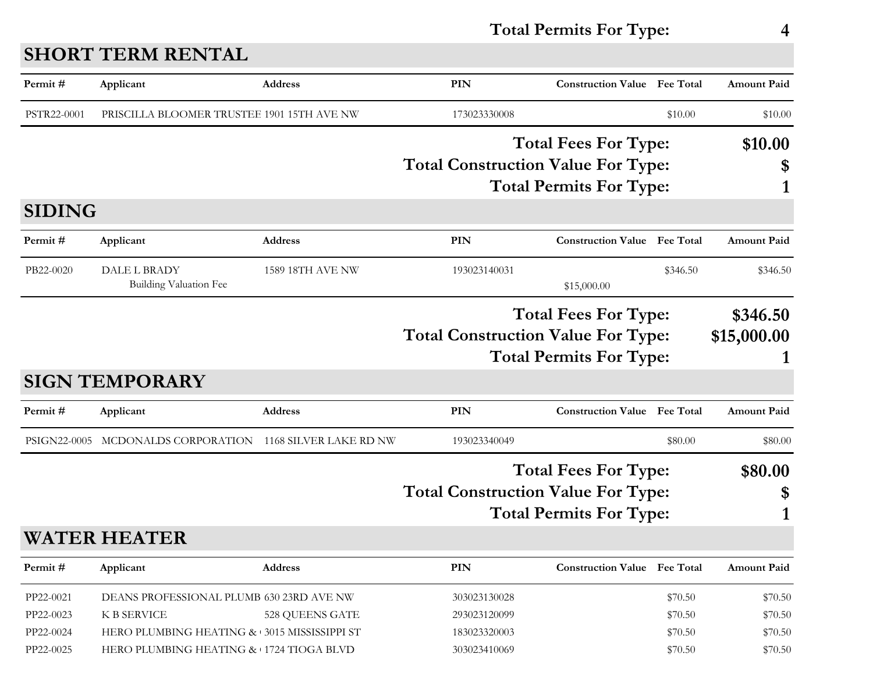# **Total Permits For Type: 4**

| Permit#                                          | Applicant                                                                                                                                                | <b>Address</b>          | PIN                                                          | <b>Construction Value</b> Fee Total                           |                                          | <b>Amount Paid</b>                       |
|--------------------------------------------------|----------------------------------------------------------------------------------------------------------------------------------------------------------|-------------------------|--------------------------------------------------------------|---------------------------------------------------------------|------------------------------------------|------------------------------------------|
| PSTR22-0001                                      | PRISCILLA BLOOMER TRUSTEE 1901 15TH AVE NW                                                                                                               |                         | 173023330008                                                 |                                                               | \$10.00                                  | \$10.00                                  |
|                                                  |                                                                                                                                                          |                         | <b>Total Construction Value For Type:</b>                    | <b>Total Fees For Type:</b><br><b>Total Permits For Type:</b> |                                          | \$10.00<br>\$                            |
| <b>SIDING</b>                                    |                                                                                                                                                          |                         |                                                              |                                                               |                                          |                                          |
| Permit#                                          | Applicant                                                                                                                                                | <b>Address</b>          | <b>PIN</b>                                                   | <b>Construction Value Fee Total</b>                           |                                          | <b>Amount Paid</b>                       |
| PB22-0020                                        | DALE L BRADY<br><b>Building Valuation Fee</b>                                                                                                            | <b>1589 18TH AVE NW</b> | 193023140031                                                 | \$15,000.00                                                   | \$346.50                                 | \$346.50                                 |
|                                                  |                                                                                                                                                          |                         | <b>Total Construction Value For Type:</b>                    | <b>Total Fees For Type:</b><br><b>Total Permits For Type:</b> |                                          | \$346.50<br>\$15,000.00                  |
|                                                  | <b>SIGN TEMPORARY</b>                                                                                                                                    |                         |                                                              |                                                               |                                          |                                          |
| Permit#                                          | Applicant                                                                                                                                                | <b>Address</b>          | PIN                                                          | <b>Construction Value</b>                                     | <b>Fee Total</b>                         | <b>Amount Paid</b>                       |
| PSIGN22-0005                                     | MCDONALDS CORPORATION                                                                                                                                    | 1168 SILVER LAKE RD NW  | 193023340049                                                 |                                                               | \$80.00                                  | \$80.00                                  |
|                                                  |                                                                                                                                                          |                         | <b>Total Construction Value For Type:</b>                    | <b>Total Fees For Type:</b><br><b>Total Permits For Type:</b> |                                          | \$80.00<br>\$                            |
|                                                  | <b>WATER HEATER</b>                                                                                                                                      |                         |                                                              |                                                               |                                          |                                          |
| Permit#                                          | Applicant                                                                                                                                                | Address                 | PIN                                                          | <b>Construction Value Fee Total</b>                           |                                          | Amount Paid                              |
| PP22-0021<br>PP22-0023<br>PP22-0024<br>PP22-0025 | DEANS PROFESSIONAL PLUMB 630 23RD AVE NW<br><b>K B SERVICE</b><br>HERO PLUMBING HEATING & 3015 MISSISSIPPI ST<br>HERO PLUMBING HEATING & 1724 TIOGA BLVD | 528 QUEENS GATE         | 303023130028<br>293023120099<br>183023320003<br>303023410069 |                                                               | \$70.50<br>\$70.50<br>\$70.50<br>\$70.50 | \$70.50<br>\$70.50<br>\$70.50<br>\$70.50 |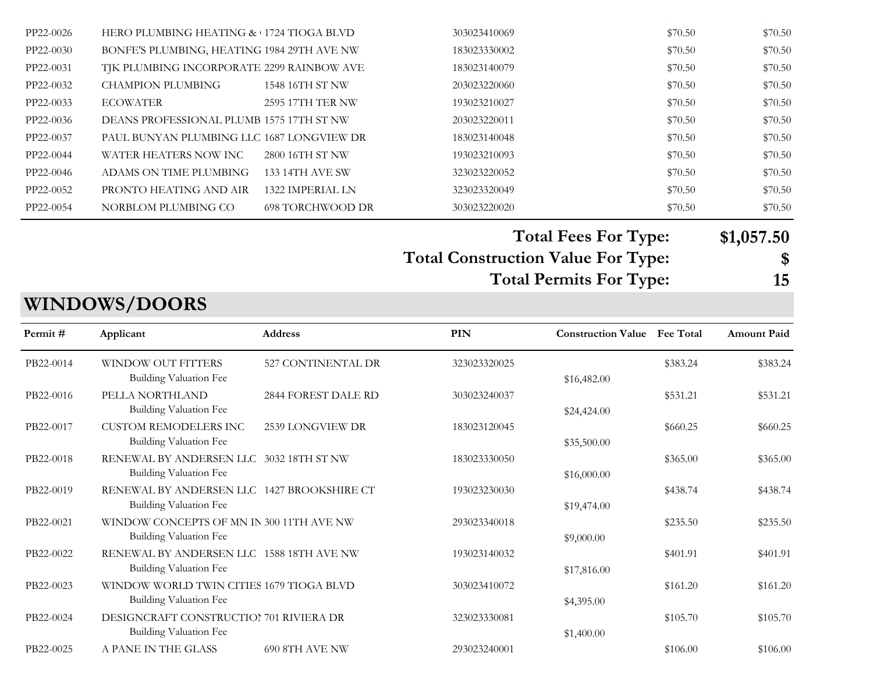| PP22-0026 | HERO PLUMBING HEATING & 1724 TIOGA BLVD    |                        | 303023410069 | \$70.50 | \$70.50 |
|-----------|--------------------------------------------|------------------------|--------------|---------|---------|
| PP22-0030 | BONFE'S PLUMBING, HEATING 1984 29TH AVE NW |                        | 183023330002 | \$70.50 | \$70.50 |
| PP22-0031 | TJK PLUMBING INCORPORATE 2299 RAINBOW AVE  |                        | 183023140079 | \$70.50 | \$70.50 |
| PP22-0032 | CHAMPION PLUMBING                          | 1548 16TH ST NW        | 203023220060 | \$70.50 | \$70.50 |
| PP22-0033 | <b>ECOWATER</b>                            | 2595 17TH TER NW       | 193023210027 | \$70.50 | \$70.50 |
| PP22-0036 | DEANS PROFESSIONAL PLUMB 1575 17TH ST NW   |                        | 203023220011 | \$70.50 | \$70.50 |
| PP22-0037 | PAUL BUNYAN PLUMBING LLC 1687 LONGVIEW DR  |                        | 183023140048 | \$70.50 | \$70.50 |
| PP22-0044 | WATER HEATERS NOW INC                      | 2800 16TH ST NW        | 193023210093 | \$70.50 | \$70.50 |
| PP22-0046 | ADAMS ON TIME PLUMBING                     | <b>133 14TH AVE SW</b> | 323023220052 | \$70.50 | \$70.50 |
| PP22-0052 | PRONTO HEATING AND AIR                     | 1322 IMPERIAL LN       | 323023320049 | \$70.50 | \$70.50 |
| PP22-0054 | NORBLOM PLUMBING CO                        | 698 TORCHWOOD DR       | 303023220020 | \$70.50 | \$70.50 |

PP22-0025 HERO PLUMBING HEATING & COOLING 1724 TIOGA BLVD 303023410069 \$70.50 \$70.50

**Total Fees For Type: \$1,057.50**

**Total Construction Value For Type: \$ Total Permits For Type:** 

| ×<br>۰, |  |
|---------|--|

#### PB22-0025 A PANE IN THE GLASS 690 8TH AVE NW 293023240001 \$106.00 \$106.00 \$106.00 **PIN Construction Value Permit # Applicant Address Fee Total Amount Paid** PB22-0014 WINDOW OUT FITTERS 527 CONTINENTAL DR 323023320025 \$383.24 \$383.24 \$383.24 Building Valuation Fee  $$16,482.00$ PB22-0016 PELLA NORTHLAND 2844 FOREST DALE RD 303023240037 \$531.21 \$531.21 \$531.21 Building Valuation Fee  $$24,424.00$ PB22-0017 CUSTOM REMODELERS INC 2539 LONGVIEW DR 183023120045 \$660.25 \$660.25 \$660.25 Building Valuation Fee  $$35,500.00$ PB22-0018 RENEWAL BY ANDERSEN LLC 3032 18TH ST NW 183023330050 \$365.00 \$365.00 \$365.00 Building Valuation Fee  $$16,000.00$ PB22-0019 RENEWAL BY ANDERSEN LLC 1427 BROOKSHIRE CT 193023230030 \$438.74 \$438.74 \$438.74 Building Valuation Fee  $$19,474.00$ PB22-0021 WINDOW CONCEPTS OF MN IN 300 11TH AVE NW 293023340018 \$235.50 \$235.50 \$235.50 \$235.50 Building Valuation Fee  $$9,000.00$ PB22-0022 RENEWAL BY ANDERSEN LLC 1588 18TH AVE NW 193023140032 \$401.91 \$401.91 \$401.91 Building Valuation Fee  $$17,816.00$ PB22-0023 WINDOW WORLD TWIN CITIES 1679 TIOGA BLVD 303023410072 \$161.20 \$161.20 Building Valuation Fee  $$4,395.00$ PB22-0024 DESIGNCRAFT CONSTRUCTION 701 RIVIERA DR 323023330081 \$105.70 \$105.70 \$105.70 Building Valuation Fee  $$1,400.00$

#### **WINDOWS/DOORS**